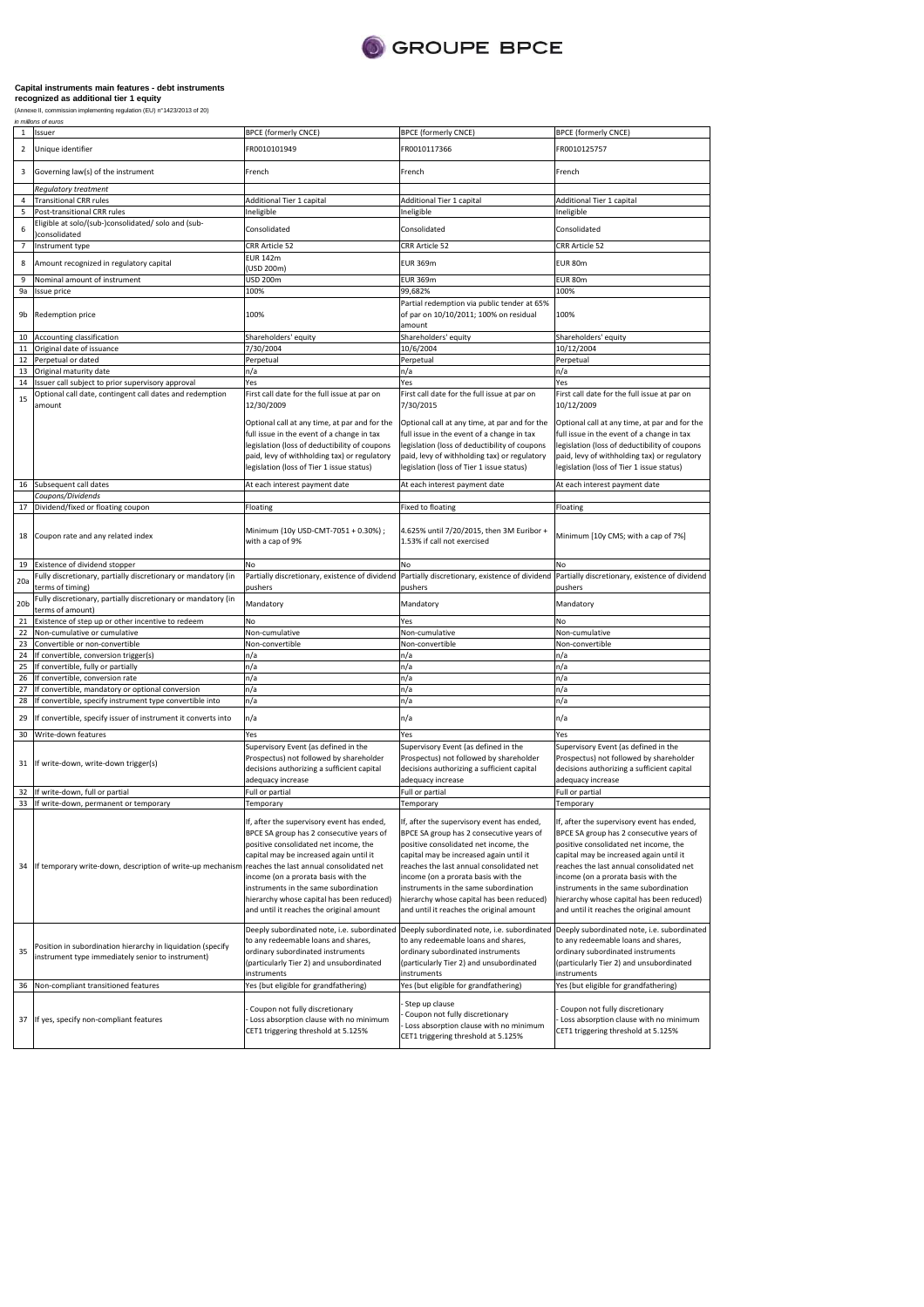

| $\mathbf{1}$    | Issuer                                                                                                           | <b>BPCE (formerly CNCE)</b>                                                                                                                                                                                                                                                                                                                         | <b>BPCE (formerly CNCE)</b>                                                                                                                                                                                                                                                                                                                                                                     | <b>BPCE (formerly CNCE)</b>                                                                                                                                                                                                                                                                                                                                                                     |
|-----------------|------------------------------------------------------------------------------------------------------------------|-----------------------------------------------------------------------------------------------------------------------------------------------------------------------------------------------------------------------------------------------------------------------------------------------------------------------------------------------------|-------------------------------------------------------------------------------------------------------------------------------------------------------------------------------------------------------------------------------------------------------------------------------------------------------------------------------------------------------------------------------------------------|-------------------------------------------------------------------------------------------------------------------------------------------------------------------------------------------------------------------------------------------------------------------------------------------------------------------------------------------------------------------------------------------------|
| 2               | Unique identifier                                                                                                | FR0010101949                                                                                                                                                                                                                                                                                                                                        | FR0010117366                                                                                                                                                                                                                                                                                                                                                                                    | FR0010125757                                                                                                                                                                                                                                                                                                                                                                                    |
| 3               | Governing law(s) of the instrument                                                                               | French                                                                                                                                                                                                                                                                                                                                              | French                                                                                                                                                                                                                                                                                                                                                                                          | French                                                                                                                                                                                                                                                                                                                                                                                          |
|                 | Regulatory treatment                                                                                             |                                                                                                                                                                                                                                                                                                                                                     |                                                                                                                                                                                                                                                                                                                                                                                                 |                                                                                                                                                                                                                                                                                                                                                                                                 |
| 4               | <b>Transitional CRR rules</b>                                                                                    | Additional Tier 1 capital                                                                                                                                                                                                                                                                                                                           | Additional Tier 1 capital                                                                                                                                                                                                                                                                                                                                                                       | Additional Tier 1 capital                                                                                                                                                                                                                                                                                                                                                                       |
| 5<br>6          | Post-transitional CRR rules<br>Eligible at solo/(sub-)consolidated/ solo and (sub-<br>consolidated               | Ineligible<br>Consolidated                                                                                                                                                                                                                                                                                                                          | Ineligible<br>Consolidated                                                                                                                                                                                                                                                                                                                                                                      | neligible<br>Consolidated                                                                                                                                                                                                                                                                                                                                                                       |
| $\overline{7}$  |                                                                                                                  | CRR Article 52                                                                                                                                                                                                                                                                                                                                      | CRR Article 52                                                                                                                                                                                                                                                                                                                                                                                  | CRR Article 52                                                                                                                                                                                                                                                                                                                                                                                  |
|                 | Instrument type                                                                                                  | <b>EUR 142m</b>                                                                                                                                                                                                                                                                                                                                     |                                                                                                                                                                                                                                                                                                                                                                                                 |                                                                                                                                                                                                                                                                                                                                                                                                 |
| 8               | Amount recognized in regulatory capital                                                                          | (USD 200m)<br>USD 200m                                                                                                                                                                                                                                                                                                                              | <b>EUR 369m</b>                                                                                                                                                                                                                                                                                                                                                                                 | EUR 80m                                                                                                                                                                                                                                                                                                                                                                                         |
| 9               | Nominal amount of instrument                                                                                     |                                                                                                                                                                                                                                                                                                                                                     | <b>EUR 369m</b>                                                                                                                                                                                                                                                                                                                                                                                 | EUR 80m                                                                                                                                                                                                                                                                                                                                                                                         |
| 9a<br>9b        | Issue price<br>Redemption price                                                                                  | 100%<br>100%                                                                                                                                                                                                                                                                                                                                        | 99,682%<br>Partial redemption via public tender at 65%<br>of par on 10/10/2011; 100% on residual<br>amount                                                                                                                                                                                                                                                                                      | 100%<br>100%                                                                                                                                                                                                                                                                                                                                                                                    |
| 10              | Accounting classification                                                                                        | Shareholders' equity                                                                                                                                                                                                                                                                                                                                | Shareholders' equity                                                                                                                                                                                                                                                                                                                                                                            | Shareholders' equity                                                                                                                                                                                                                                                                                                                                                                            |
| 11              | Original date of issuance                                                                                        | 7/30/2004                                                                                                                                                                                                                                                                                                                                           | 10/6/2004                                                                                                                                                                                                                                                                                                                                                                                       | 10/12/2004                                                                                                                                                                                                                                                                                                                                                                                      |
| 12              | Perpetual or dated                                                                                               | Perpetual                                                                                                                                                                                                                                                                                                                                           | Perpetual                                                                                                                                                                                                                                                                                                                                                                                       | Perpetual                                                                                                                                                                                                                                                                                                                                                                                       |
|                 |                                                                                                                  |                                                                                                                                                                                                                                                                                                                                                     |                                                                                                                                                                                                                                                                                                                                                                                                 |                                                                                                                                                                                                                                                                                                                                                                                                 |
| 13              | Original maturity date                                                                                           | n/a<br>Yes                                                                                                                                                                                                                                                                                                                                          | n/a                                                                                                                                                                                                                                                                                                                                                                                             | n/a<br>Yes                                                                                                                                                                                                                                                                                                                                                                                      |
| 14              | Issuer call subject to prior supervisory approval                                                                |                                                                                                                                                                                                                                                                                                                                                     | Yes                                                                                                                                                                                                                                                                                                                                                                                             |                                                                                                                                                                                                                                                                                                                                                                                                 |
| 15              | Optional call date, contingent call dates and redemption<br>amount                                               | First call date for the full issue at par on<br>12/30/2009                                                                                                                                                                                                                                                                                          | First call date for the full issue at par on<br>7/30/2015                                                                                                                                                                                                                                                                                                                                       | First call date for the full issue at par on<br>10/12/2009                                                                                                                                                                                                                                                                                                                                      |
|                 |                                                                                                                  | Optional call at any time, at par and for the<br>full issue in the event of a change in tax<br>legislation (loss of deductibility of coupons<br>paid, levy of withholding tax) or regulatory<br>legislation (loss of Tier 1 issue status)                                                                                                           | Optional call at any time, at par and for the<br>full issue in the event of a change in tax<br>legislation (loss of deductibility of coupons<br>paid, levy of withholding tax) or regulatory<br>legislation (loss of Tier 1 issue status)                                                                                                                                                       | Optional call at any time, at par and for the<br>full issue in the event of a change in tax<br>legislation (loss of deductibility of coupons<br>paid, levy of withholding tax) or regulatory<br>egislation (loss of Tier 1 issue status)                                                                                                                                                        |
| 16              | Subsequent call dates                                                                                            | At each interest payment date                                                                                                                                                                                                                                                                                                                       | At each interest payment date                                                                                                                                                                                                                                                                                                                                                                   | At each interest payment date                                                                                                                                                                                                                                                                                                                                                                   |
|                 | Coupons/Dividends                                                                                                |                                                                                                                                                                                                                                                                                                                                                     |                                                                                                                                                                                                                                                                                                                                                                                                 |                                                                                                                                                                                                                                                                                                                                                                                                 |
| 17              | Dividend/fixed or floating coupon                                                                                | Floating                                                                                                                                                                                                                                                                                                                                            | <b>Fixed to floating</b>                                                                                                                                                                                                                                                                                                                                                                        | Floating                                                                                                                                                                                                                                                                                                                                                                                        |
| 18              | Coupon rate and any related index                                                                                | Minimum (10y USD-CMT-7051 + 0.30%) ;<br>with a cap of 9%                                                                                                                                                                                                                                                                                            | 4.625% until 7/20/2015, then 3M Euribor +<br>1.53% if call not exercised                                                                                                                                                                                                                                                                                                                        | Minimum [10y CMS; with a cap of 7%]                                                                                                                                                                                                                                                                                                                                                             |
|                 |                                                                                                                  |                                                                                                                                                                                                                                                                                                                                                     |                                                                                                                                                                                                                                                                                                                                                                                                 |                                                                                                                                                                                                                                                                                                                                                                                                 |
| 19              | Existence of dividend stopper                                                                                    | No                                                                                                                                                                                                                                                                                                                                                  | No                                                                                                                                                                                                                                                                                                                                                                                              | No                                                                                                                                                                                                                                                                                                                                                                                              |
| 20a             | Fully discretionary, partially discretionary or mandatory (in                                                    | Partially discretionary, existence of dividend                                                                                                                                                                                                                                                                                                      | Partially discretionary, existence of dividend                                                                                                                                                                                                                                                                                                                                                  | Partially discretionary, existence of dividend                                                                                                                                                                                                                                                                                                                                                  |
|                 | terms of timing)                                                                                                 | pushers                                                                                                                                                                                                                                                                                                                                             | pushers                                                                                                                                                                                                                                                                                                                                                                                         | pushers                                                                                                                                                                                                                                                                                                                                                                                         |
| 20 <sub>b</sub> | Fully discretionary, partially discretionary or mandatory (in<br>terms of amount)                                | Mandatory                                                                                                                                                                                                                                                                                                                                           | Mandatory                                                                                                                                                                                                                                                                                                                                                                                       | Mandatory                                                                                                                                                                                                                                                                                                                                                                                       |
| 21              | Existence of step up or other incentive to redeem                                                                | No                                                                                                                                                                                                                                                                                                                                                  | Yes                                                                                                                                                                                                                                                                                                                                                                                             | No                                                                                                                                                                                                                                                                                                                                                                                              |
| 22              | Non-cumulative or cumulative                                                                                     | Non-cumulative                                                                                                                                                                                                                                                                                                                                      | Non-cumulative                                                                                                                                                                                                                                                                                                                                                                                  | Non-cumulative                                                                                                                                                                                                                                                                                                                                                                                  |
| 23              | Convertible or non-convertible                                                                                   | Non-convertible                                                                                                                                                                                                                                                                                                                                     | Non-convertible                                                                                                                                                                                                                                                                                                                                                                                 | Non-convertible                                                                                                                                                                                                                                                                                                                                                                                 |
| 24              | If convertible, conversion trigger(s)                                                                            | n/a                                                                                                                                                                                                                                                                                                                                                 | n/a                                                                                                                                                                                                                                                                                                                                                                                             | n/a                                                                                                                                                                                                                                                                                                                                                                                             |
| 25              | If convertible, fully or partially                                                                               | n/a                                                                                                                                                                                                                                                                                                                                                 | n/a                                                                                                                                                                                                                                                                                                                                                                                             | n/a                                                                                                                                                                                                                                                                                                                                                                                             |
| 26              | If convertible, conversion rate                                                                                  | n/a                                                                                                                                                                                                                                                                                                                                                 | n/a                                                                                                                                                                                                                                                                                                                                                                                             | n/a                                                                                                                                                                                                                                                                                                                                                                                             |
| 27              | If convertible, mandatory or optional conversion                                                                 | n/a                                                                                                                                                                                                                                                                                                                                                 | n/a                                                                                                                                                                                                                                                                                                                                                                                             | n/a                                                                                                                                                                                                                                                                                                                                                                                             |
| 28              | If convertible, specify instrument type convertible into                                                         | n/a                                                                                                                                                                                                                                                                                                                                                 | n/a                                                                                                                                                                                                                                                                                                                                                                                             | n/a                                                                                                                                                                                                                                                                                                                                                                                             |
| 29              | If convertible, specify issuer of instrument it converts into                                                    | n/a                                                                                                                                                                                                                                                                                                                                                 | n/a                                                                                                                                                                                                                                                                                                                                                                                             | n/a                                                                                                                                                                                                                                                                                                                                                                                             |
| 30              | Write-down features                                                                                              | Yes                                                                                                                                                                                                                                                                                                                                                 | Yes                                                                                                                                                                                                                                                                                                                                                                                             | Yes                                                                                                                                                                                                                                                                                                                                                                                             |
| 31              | If write-down, write-down trigger(s)                                                                             | Supervisory Event (as defined in the<br>Prospectus) not followed by shareholder<br>decisions authorizing a sufficient capital<br>adequacy increase                                                                                                                                                                                                  | Supervisory Event (as defined in the<br>Prospectus) not followed by shareholder<br>decisions authorizing a sufficient capital<br>adequacy increase                                                                                                                                                                                                                                              | Supervisory Event (as defined in the<br>Prospectus) not followed by shareholder<br>decisions authorizing a sufficient capital<br>adequacy increase                                                                                                                                                                                                                                              |
| 32              | If write-down, full or partial                                                                                   | Full or partial                                                                                                                                                                                                                                                                                                                                     | Full or partial                                                                                                                                                                                                                                                                                                                                                                                 | Full or partial                                                                                                                                                                                                                                                                                                                                                                                 |
| 33              | If write-down, permanent or temporary                                                                            | Temporary                                                                                                                                                                                                                                                                                                                                           | Temporary                                                                                                                                                                                                                                                                                                                                                                                       | Temporary                                                                                                                                                                                                                                                                                                                                                                                       |
| 34              | If temporary write-down, description of write-up mechanism reaches the last annual consolidated net              | If, after the supervisory event has ended,<br>BPCE SA group has 2 consecutive years of<br>positive consolidated net income, the<br>capital may be increased again until it<br>income (on a prorata basis with the<br>instruments in the same subordination<br>hierarchy whose capital has been reduced)<br>and until it reaches the original amount | If, after the supervisory event has ended,<br>BPCE SA group has 2 consecutive years of<br>positive consolidated net income, the<br>capital may be increased again until it<br>reaches the last annual consolidated net<br>income (on a prorata basis with the<br>instruments in the same subordination<br>hierarchy whose capital has been reduced)<br>and until it reaches the original amount | If, after the supervisory event has ended,<br>BPCE SA group has 2 consecutive years of<br>positive consolidated net income, the<br>capital may be increased again until it<br>reaches the last annual consolidated net<br>income (on a prorata basis with the<br>instruments in the same subordination<br>hierarchy whose capital has been reduced)<br>and until it reaches the original amount |
| 35              | Position in subordination hierarchy in liquidation (specify<br>instrument type immediately senior to instrument) | Deeply subordinated note, i.e. subordinated<br>to any redeemable loans and shares,<br>ordinary subordinated instruments<br>(particularly Tier 2) and unsubordinated<br>instruments                                                                                                                                                                  | Deeply subordinated note, i.e. subordinated<br>to any redeemable loans and shares,<br>ordinary subordinated instruments<br>(particularly Tier 2) and unsubordinated<br>instruments                                                                                                                                                                                                              | Deeply subordinated note, i.e. subordinated<br>to any redeemable loans and shares,<br>ordinary subordinated instruments<br>(particularly Tier 2) and unsubordinated<br>instruments                                                                                                                                                                                                              |
| 36              | Non-compliant transitioned features                                                                              | Yes (but eligible for grandfathering)                                                                                                                                                                                                                                                                                                               | Yes (but eligible for grandfathering)                                                                                                                                                                                                                                                                                                                                                           | Yes (but eligible for grandfathering)                                                                                                                                                                                                                                                                                                                                                           |
|                 | 37 If yes, specify non-compliant features                                                                        | Coupon not fully discretionary<br>Loss absorption clause with no minimum<br>CET1 triggering threshold at 5.125%                                                                                                                                                                                                                                     | Step up clause<br>Coupon not fully discretionary<br>Loss absorption clause with no minimum<br>CET1 triggering threshold at 5.125%                                                                                                                                                                                                                                                               | Coupon not fully discretionary<br>Loss absorption clause with no minimum<br>CET1 triggering threshold at 5.125%                                                                                                                                                                                                                                                                                 |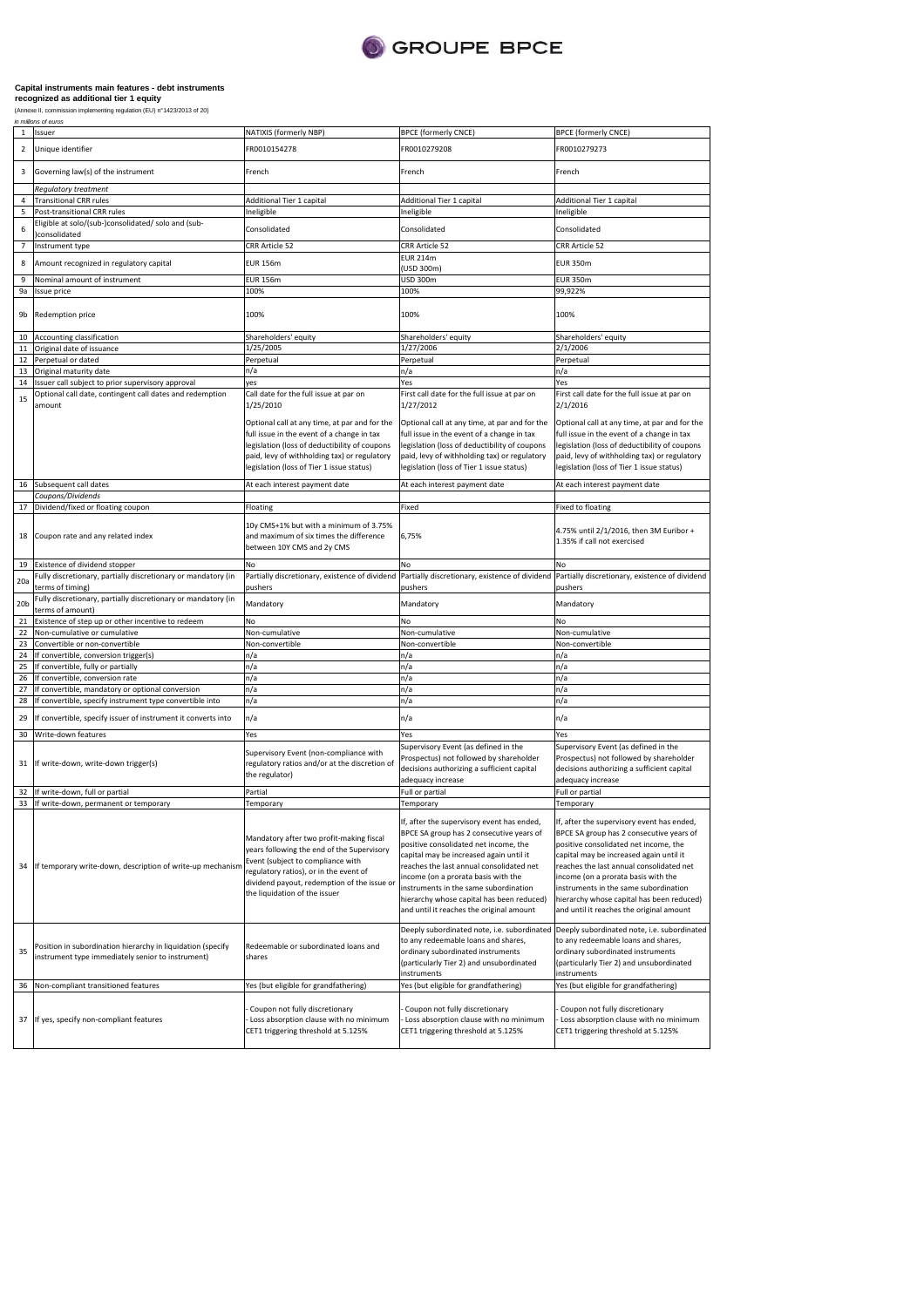

| $\mathbf{1}$            | Issuer                                                                                                                    | NATIXIS (formerly NBP)                                                                                                                                                                                                                                | <b>BPCE (formerly CNCE)</b>                                                                                                                                                                                                                                                                                                                                                                     | <b>BPCE (formerly CNCE)</b>                                                                                                                                                                                                                                                                                                                                                                     |
|-------------------------|---------------------------------------------------------------------------------------------------------------------------|-------------------------------------------------------------------------------------------------------------------------------------------------------------------------------------------------------------------------------------------------------|-------------------------------------------------------------------------------------------------------------------------------------------------------------------------------------------------------------------------------------------------------------------------------------------------------------------------------------------------------------------------------------------------|-------------------------------------------------------------------------------------------------------------------------------------------------------------------------------------------------------------------------------------------------------------------------------------------------------------------------------------------------------------------------------------------------|
| $\overline{\mathbf{2}}$ | Unique identifier                                                                                                         | FR0010154278                                                                                                                                                                                                                                          | FR0010279208                                                                                                                                                                                                                                                                                                                                                                                    | FR0010279273                                                                                                                                                                                                                                                                                                                                                                                    |
| 3                       | Governing law(s) of the instrument                                                                                        | French                                                                                                                                                                                                                                                | French                                                                                                                                                                                                                                                                                                                                                                                          | French                                                                                                                                                                                                                                                                                                                                                                                          |
|                         | Regulatory treatment                                                                                                      |                                                                                                                                                                                                                                                       |                                                                                                                                                                                                                                                                                                                                                                                                 |                                                                                                                                                                                                                                                                                                                                                                                                 |
| 4                       | <b>Transitional CRR rules</b>                                                                                             | Additional Tier 1 capital                                                                                                                                                                                                                             | Additional Tier 1 capital<br>Ineligible                                                                                                                                                                                                                                                                                                                                                         | Additional Tier 1 capital<br>Ineligible                                                                                                                                                                                                                                                                                                                                                         |
| 5                       | Post-transitional CRR rules                                                                                               | Ineligible                                                                                                                                                                                                                                            |                                                                                                                                                                                                                                                                                                                                                                                                 |                                                                                                                                                                                                                                                                                                                                                                                                 |
| 6                       | Eligible at solo/(sub-)consolidated/ solo and (sub-<br>consolidated                                                       | Consolidated                                                                                                                                                                                                                                          | Consolidated                                                                                                                                                                                                                                                                                                                                                                                    | Consolidated                                                                                                                                                                                                                                                                                                                                                                                    |
| $\overline{7}$          | Instrument type                                                                                                           | CRR Article 52                                                                                                                                                                                                                                        | CRR Article 52                                                                                                                                                                                                                                                                                                                                                                                  | CRR Article 52                                                                                                                                                                                                                                                                                                                                                                                  |
| 8                       | Amount recognized in regulatory capital                                                                                   | <b>EUR 156m</b>                                                                                                                                                                                                                                       | <b>EUR 214m</b><br>(USD 300m)                                                                                                                                                                                                                                                                                                                                                                   | <b>EUR 350m</b>                                                                                                                                                                                                                                                                                                                                                                                 |
| 9                       | Nominal amount of instrument                                                                                              | <b>EUR 156m</b>                                                                                                                                                                                                                                       | <b>USD 300m</b>                                                                                                                                                                                                                                                                                                                                                                                 | <b>EUR 350m</b>                                                                                                                                                                                                                                                                                                                                                                                 |
| 9a                      | Issue price                                                                                                               | 100%                                                                                                                                                                                                                                                  | 100%                                                                                                                                                                                                                                                                                                                                                                                            | 99,922%                                                                                                                                                                                                                                                                                                                                                                                         |
| 9b                      | Redemption price                                                                                                          | 100%                                                                                                                                                                                                                                                  | 100%                                                                                                                                                                                                                                                                                                                                                                                            | 100%                                                                                                                                                                                                                                                                                                                                                                                            |
| 10                      | Accounting classification                                                                                                 | Shareholders' equity                                                                                                                                                                                                                                  | Shareholders' equity                                                                                                                                                                                                                                                                                                                                                                            | Shareholders' equity                                                                                                                                                                                                                                                                                                                                                                            |
| $11\,$                  | Original date of issuance                                                                                                 | 1/25/2005                                                                                                                                                                                                                                             | 1/27/2006                                                                                                                                                                                                                                                                                                                                                                                       | 2/1/2006                                                                                                                                                                                                                                                                                                                                                                                        |
| 12                      | Perpetual or dated                                                                                                        | Perpetual                                                                                                                                                                                                                                             | Perpetual                                                                                                                                                                                                                                                                                                                                                                                       | Perpetual                                                                                                                                                                                                                                                                                                                                                                                       |
| 13                      | Original maturity date                                                                                                    | n/a                                                                                                                                                                                                                                                   | n/a                                                                                                                                                                                                                                                                                                                                                                                             | n/a                                                                                                                                                                                                                                                                                                                                                                                             |
| 14                      | Issuer call subject to prior supervisory approval                                                                         | yes                                                                                                                                                                                                                                                   | Yes                                                                                                                                                                                                                                                                                                                                                                                             | Yes                                                                                                                                                                                                                                                                                                                                                                                             |
| 15                      | Optional call date, contingent call dates and redemption<br>Call date for the full issue at par on<br>1/25/2010<br>amount |                                                                                                                                                                                                                                                       | First call date for the full issue at par on<br>1/27/2012                                                                                                                                                                                                                                                                                                                                       | First call date for the full issue at par on<br>2/1/2016                                                                                                                                                                                                                                                                                                                                        |
|                         |                                                                                                                           | Optional call at any time, at par and for the<br>full issue in the event of a change in tax<br>legislation (loss of deductibility of coupons<br>paid, levy of withholding tax) or regulatory<br>legislation (loss of Tier 1 issue status)             | Optional call at any time, at par and for the<br>full issue in the event of a change in tax<br>legislation (loss of deductibility of coupons<br>paid, levy of withholding tax) or regulatory<br>legislation (loss of Tier 1 issue status)                                                                                                                                                       | Optional call at any time, at par and for the<br>full issue in the event of a change in tax<br>legislation (loss of deductibility of coupons<br>paid, levy of withholding tax) or regulatory<br>legislation (loss of Tier 1 issue status)                                                                                                                                                       |
| 16                      | Subsequent call dates                                                                                                     | At each interest payment date                                                                                                                                                                                                                         |                                                                                                                                                                                                                                                                                                                                                                                                 | At each interest payment date                                                                                                                                                                                                                                                                                                                                                                   |
|                         | Coupons/Dividends                                                                                                         |                                                                                                                                                                                                                                                       |                                                                                                                                                                                                                                                                                                                                                                                                 |                                                                                                                                                                                                                                                                                                                                                                                                 |
| 17<br>18                | Dividend/fixed or floating coupon<br>Coupon rate and any related index                                                    | Floating<br>10y CMS+1% but with a minimum of 3.75%<br>and maximum of six times the difference<br>between 10Y CMS and 2y CMS                                                                                                                           | Fixed<br>6,75%                                                                                                                                                                                                                                                                                                                                                                                  | <b>Fixed to floating</b><br>4.75% until 2/1/2016, then 3M Euribor +<br>1.35% if call not exercised                                                                                                                                                                                                                                                                                              |
| 19                      | Existence of dividend stopper                                                                                             | No                                                                                                                                                                                                                                                    | No                                                                                                                                                                                                                                                                                                                                                                                              | No                                                                                                                                                                                                                                                                                                                                                                                              |
|                         | Fully discretionary, partially discretionary or mandatory (in                                                             | Partially discretionary, existence of dividend Partially discretionary, existence of dividend                                                                                                                                                         |                                                                                                                                                                                                                                                                                                                                                                                                 | Partially discretionary, existence of dividend                                                                                                                                                                                                                                                                                                                                                  |
| 20a                     | terms of timing)                                                                                                          | pushers                                                                                                                                                                                                                                               | pushers                                                                                                                                                                                                                                                                                                                                                                                         | pushers                                                                                                                                                                                                                                                                                                                                                                                         |
| 20 <sub>b</sub>         | Fully discretionary, partially discretionary or mandatory (in<br>terms of amount)                                         | Mandatory                                                                                                                                                                                                                                             | Mandatory                                                                                                                                                                                                                                                                                                                                                                                       | Mandatory                                                                                                                                                                                                                                                                                                                                                                                       |
| 21                      | Existence of step up or other incentive to redeem                                                                         | No                                                                                                                                                                                                                                                    | No                                                                                                                                                                                                                                                                                                                                                                                              | No                                                                                                                                                                                                                                                                                                                                                                                              |
| 22                      | Non-cumulative or cumulative                                                                                              | Non-cumulative                                                                                                                                                                                                                                        | Non-cumulative                                                                                                                                                                                                                                                                                                                                                                                  | Non-cumulative                                                                                                                                                                                                                                                                                                                                                                                  |
| 23                      | Convertible or non-convertible                                                                                            | Non-convertible                                                                                                                                                                                                                                       | Non-convertible                                                                                                                                                                                                                                                                                                                                                                                 | Non-convertible                                                                                                                                                                                                                                                                                                                                                                                 |
| 24                      | If convertible, conversion trigger(s)                                                                                     | n/a                                                                                                                                                                                                                                                   | n/a                                                                                                                                                                                                                                                                                                                                                                                             | n/a                                                                                                                                                                                                                                                                                                                                                                                             |
| 25                      | If convertible, fully or partially                                                                                        | n/a                                                                                                                                                                                                                                                   | n/a                                                                                                                                                                                                                                                                                                                                                                                             | n/a                                                                                                                                                                                                                                                                                                                                                                                             |
| 26                      | If convertible, conversion rate                                                                                           | n/a                                                                                                                                                                                                                                                   | n/a                                                                                                                                                                                                                                                                                                                                                                                             | n/a                                                                                                                                                                                                                                                                                                                                                                                             |
| 27                      | If convertible, mandatory or optional conversion                                                                          | n/a                                                                                                                                                                                                                                                   | n/a                                                                                                                                                                                                                                                                                                                                                                                             | n/a                                                                                                                                                                                                                                                                                                                                                                                             |
| 28                      | If convertible, specify instrument type convertible into                                                                  | n/a                                                                                                                                                                                                                                                   | n/a                                                                                                                                                                                                                                                                                                                                                                                             | n/a                                                                                                                                                                                                                                                                                                                                                                                             |
| 29                      | If convertible, specify issuer of instrument it converts into                                                             | n/a                                                                                                                                                                                                                                                   | n/a                                                                                                                                                                                                                                                                                                                                                                                             | n/a                                                                                                                                                                                                                                                                                                                                                                                             |
| 30                      | Write-down features                                                                                                       | Yes                                                                                                                                                                                                                                                   | Yes                                                                                                                                                                                                                                                                                                                                                                                             | Yes                                                                                                                                                                                                                                                                                                                                                                                             |
| 31                      | If write-down, write-down trigger(s)                                                                                      | Supervisory Event (non-compliance with<br>regulatory ratios and/or at the discretion of<br>the regulator)                                                                                                                                             | Supervisory Event (as defined in the<br>Prospectus) not followed by shareholder<br>decisions authorizing a sufficient capital<br>adequacy increase                                                                                                                                                                                                                                              | Supervisory Event (as defined in the<br>Prospectus) not followed by shareholder<br>decisions authorizing a sufficient capital<br>adequacy increase                                                                                                                                                                                                                                              |
| 32                      | If write-down, full or partial                                                                                            | Partial                                                                                                                                                                                                                                               | Full or partial                                                                                                                                                                                                                                                                                                                                                                                 | Full or partial                                                                                                                                                                                                                                                                                                                                                                                 |
| 33                      | If write-down, permanent or temporary                                                                                     | Temporary                                                                                                                                                                                                                                             | Temporary                                                                                                                                                                                                                                                                                                                                                                                       | Temporary                                                                                                                                                                                                                                                                                                                                                                                       |
| 34                      | If temporary write-down, description of write-up mechanisn                                                                | Mandatory after two profit-making fiscal<br>years following the end of the Supervisory<br>Event (subject to compliance with<br>regulatory ratios), or in the event of<br>dividend payout, redemption of the issue or<br>the liquidation of the issuer | If, after the supervisory event has ended,<br>BPCE SA group has 2 consecutive years of<br>positive consolidated net income, the<br>capital may be increased again until it<br>reaches the last annual consolidated net<br>income (on a prorata basis with the<br>instruments in the same subordination<br>hierarchy whose capital has been reduced)<br>and until it reaches the original amount | If, after the supervisory event has ended,<br>BPCE SA group has 2 consecutive years of<br>positive consolidated net income, the<br>capital may be increased again until it<br>reaches the last annual consolidated net<br>income (on a prorata basis with the<br>instruments in the same subordination<br>hierarchy whose capital has been reduced)<br>and until it reaches the original amount |
| 35                      | Position in subordination hierarchy in liquidation (specify<br>instrument type immediately senior to instrument)          | Redeemable or subordinated loans and<br>shares                                                                                                                                                                                                        | Deeply subordinated note, i.e. subordinated<br>to any redeemable loans and shares,<br>ordinary subordinated instruments<br>(particularly Tier 2) and unsubordinated<br>instruments                                                                                                                                                                                                              | Deeply subordinated note, i.e. subordinated<br>to any redeemable loans and shares,<br>ordinary subordinated instruments<br>(particularly Tier 2) and unsubordinated<br>instruments                                                                                                                                                                                                              |
| 36                      | Non-compliant transitioned features                                                                                       | Yes (but eligible for grandfathering)                                                                                                                                                                                                                 | Yes (but eligible for grandfathering)                                                                                                                                                                                                                                                                                                                                                           | Yes (but eligible for grandfathering)                                                                                                                                                                                                                                                                                                                                                           |
| 37                      | If yes, specify non-compliant features                                                                                    | Coupon not fully discretionary<br>Loss absorption clause with no minimum<br>CET1 triggering threshold at 5.125%                                                                                                                                       | Coupon not fully discretionary<br>Loss absorption clause with no minimum<br>CET1 triggering threshold at 5.125%                                                                                                                                                                                                                                                                                 | Coupon not fully discretionary<br>Loss absorption clause with no minimum<br>CET1 triggering threshold at 5.125%                                                                                                                                                                                                                                                                                 |
|                         |                                                                                                                           |                                                                                                                                                                                                                                                       |                                                                                                                                                                                                                                                                                                                                                                                                 |                                                                                                                                                                                                                                                                                                                                                                                                 |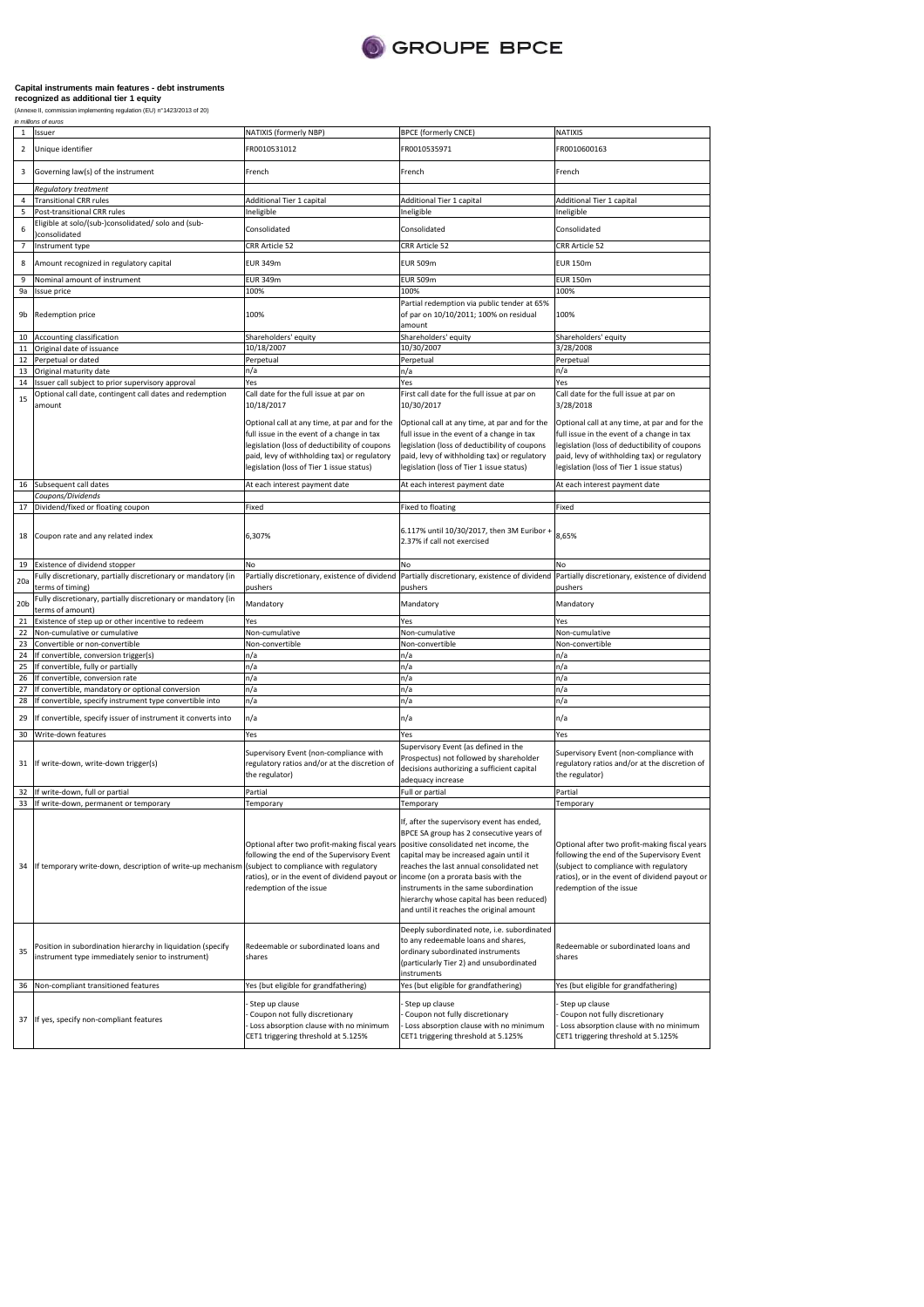

| $\mathbf{1}$    | Issuer                                                                                                           | NATIXIS (formerly NBP)                                                                                                                                                                                                                    | <b>BPCE (formerly CNCE)</b>                                                                                                                                                                                                                                                                                                                                                                     | NATIXIS                                                                                                                                                                                                                                 |
|-----------------|------------------------------------------------------------------------------------------------------------------|-------------------------------------------------------------------------------------------------------------------------------------------------------------------------------------------------------------------------------------------|-------------------------------------------------------------------------------------------------------------------------------------------------------------------------------------------------------------------------------------------------------------------------------------------------------------------------------------------------------------------------------------------------|-----------------------------------------------------------------------------------------------------------------------------------------------------------------------------------------------------------------------------------------|
| $\overline{2}$  | Unique identifier                                                                                                | FR0010531012                                                                                                                                                                                                                              | FR0010535971                                                                                                                                                                                                                                                                                                                                                                                    | FR0010600163                                                                                                                                                                                                                            |
| 3               | Governing law(s) of the instrument                                                                               | French                                                                                                                                                                                                                                    | French                                                                                                                                                                                                                                                                                                                                                                                          | French                                                                                                                                                                                                                                  |
| 4               | Regulatory treatment                                                                                             |                                                                                                                                                                                                                                           |                                                                                                                                                                                                                                                                                                                                                                                                 |                                                                                                                                                                                                                                         |
| 5               | <b>Transitional CRR rules</b><br>Post-transitional CRR rules                                                     | Additional Tier 1 capital<br>Ineligible                                                                                                                                                                                                   | Additional Tier 1 capital<br>Ineligible                                                                                                                                                                                                                                                                                                                                                         | Additional Tier 1 capital<br>neligible                                                                                                                                                                                                  |
| 6               | Eligible at solo/(sub-)consolidated/ solo and (sub-<br>consolidated                                              | Consolidated                                                                                                                                                                                                                              | Consolidated                                                                                                                                                                                                                                                                                                                                                                                    | Consolidated                                                                                                                                                                                                                            |
| 7               | Instrument type                                                                                                  | CRR Article 52                                                                                                                                                                                                                            | CRR Article 52                                                                                                                                                                                                                                                                                                                                                                                  | CRR Article 52                                                                                                                                                                                                                          |
|                 |                                                                                                                  |                                                                                                                                                                                                                                           |                                                                                                                                                                                                                                                                                                                                                                                                 |                                                                                                                                                                                                                                         |
| 8<br>9          | Amount recognized in regulatory capital<br>Nominal amount of instrument                                          | <b>EUR 349m</b><br><b>EUR 349m</b>                                                                                                                                                                                                        | <b>EUR 509m</b><br><b>EUR 509m</b>                                                                                                                                                                                                                                                                                                                                                              | <b>EUR 150m</b><br><b>EUR 150m</b>                                                                                                                                                                                                      |
| 9a              |                                                                                                                  | 100%                                                                                                                                                                                                                                      | 100%                                                                                                                                                                                                                                                                                                                                                                                            | 100%                                                                                                                                                                                                                                    |
| 9b              | Issue price<br>Redemption price                                                                                  | 100%                                                                                                                                                                                                                                      | Partial redemption via public tender at 65%<br>of par on 10/10/2011; 100% on residual<br>amount                                                                                                                                                                                                                                                                                                 | 100%                                                                                                                                                                                                                                    |
| 10              | Accounting classification                                                                                        | Shareholders' equity                                                                                                                                                                                                                      | Shareholders' equity                                                                                                                                                                                                                                                                                                                                                                            | Shareholders' equity                                                                                                                                                                                                                    |
| 11              | Original date of issuance                                                                                        | 10/18/2007                                                                                                                                                                                                                                | 10/30/2007                                                                                                                                                                                                                                                                                                                                                                                      | 3/28/2008                                                                                                                                                                                                                               |
| 12              | Perpetual or dated                                                                                               | Perpetual                                                                                                                                                                                                                                 | Perpetual                                                                                                                                                                                                                                                                                                                                                                                       | Perpetual                                                                                                                                                                                                                               |
| 13              | Original maturity date                                                                                           | n/a                                                                                                                                                                                                                                       | n/a                                                                                                                                                                                                                                                                                                                                                                                             | n/a                                                                                                                                                                                                                                     |
| 14              | Issuer call subject to prior supervisory approval                                                                | Yes                                                                                                                                                                                                                                       | Yes                                                                                                                                                                                                                                                                                                                                                                                             | Yes                                                                                                                                                                                                                                     |
| 15              | Optional call date, contingent call dates and redemption<br>amount                                               | Call date for the full issue at par on<br>10/18/2017                                                                                                                                                                                      | First call date for the full issue at par on<br>10/30/2017                                                                                                                                                                                                                                                                                                                                      | Call date for the full issue at par on<br>3/28/2018                                                                                                                                                                                     |
|                 |                                                                                                                  | Optional call at any time, at par and for the<br>full issue in the event of a change in tax<br>legislation (loss of deductibility of coupons<br>paid, levy of withholding tax) or regulatory<br>legislation (loss of Tier 1 issue status) | Optional call at any time, at par and for the<br>full issue in the event of a change in tax<br>legislation (loss of deductibility of coupons<br>paid, levy of withholding tax) or regulatory<br>legislation (loss of Tier 1 issue status)                                                                                                                                                       | Optional call at any time, at par and for the<br>full issue in the event of a change in tax<br>egislation (loss of deductibility of coupons<br>paid, levy of withholding tax) or regulatory<br>egislation (loss of Tier 1 issue status) |
| 16              | Subsequent call dates                                                                                            | At each interest payment date                                                                                                                                                                                                             | At each interest payment date                                                                                                                                                                                                                                                                                                                                                                   | At each interest payment date                                                                                                                                                                                                           |
|                 | Coupons/Dividends                                                                                                |                                                                                                                                                                                                                                           |                                                                                                                                                                                                                                                                                                                                                                                                 |                                                                                                                                                                                                                                         |
| 17              | Dividend/fixed or floating coupon                                                                                | Fixed                                                                                                                                                                                                                                     | Fixed to floating                                                                                                                                                                                                                                                                                                                                                                               | Fixed                                                                                                                                                                                                                                   |
| 18              | Coupon rate and any related index                                                                                | 6,307%                                                                                                                                                                                                                                    | 6.117% until 10/30/2017, then 3M Euribor -<br>2.37% if call not exercised                                                                                                                                                                                                                                                                                                                       | 8,65%                                                                                                                                                                                                                                   |
| 19              | Existence of dividend stopper                                                                                    | No                                                                                                                                                                                                                                        | No                                                                                                                                                                                                                                                                                                                                                                                              | No                                                                                                                                                                                                                                      |
| 20a             | Fully discretionary, partially discretionary or mandatory (in<br>terms of timing)                                | Partially discretionary, existence of dividend<br>pushers                                                                                                                                                                                 | Partially discretionary, existence of dividend<br>pushers                                                                                                                                                                                                                                                                                                                                       | Partially discretionary, existence of dividend<br>pushers                                                                                                                                                                               |
| 20 <sub>b</sub> | Fully discretionary, partially discretionary or mandatory (in<br>terms of amount)                                | Mandatory                                                                                                                                                                                                                                 | Mandatory                                                                                                                                                                                                                                                                                                                                                                                       | Mandatory                                                                                                                                                                                                                               |
| 21              | Existence of step up or other incentive to redeem                                                                | Yes                                                                                                                                                                                                                                       | Yes                                                                                                                                                                                                                                                                                                                                                                                             | Yes                                                                                                                                                                                                                                     |
| 22              | Non-cumulative or cumulative                                                                                     | Non-cumulative                                                                                                                                                                                                                            | Non-cumulative                                                                                                                                                                                                                                                                                                                                                                                  | Non-cumulative                                                                                                                                                                                                                          |
| 23              | Convertible or non-convertible                                                                                   | Non-convertible                                                                                                                                                                                                                           | Non-convertible                                                                                                                                                                                                                                                                                                                                                                                 | Non-convertible                                                                                                                                                                                                                         |
| 24              | If convertible, conversion trigger(s)                                                                            | n/a                                                                                                                                                                                                                                       | n/a                                                                                                                                                                                                                                                                                                                                                                                             | n/a                                                                                                                                                                                                                                     |
| 25              | If convertible, fully or partially                                                                               | n/a                                                                                                                                                                                                                                       | n/a                                                                                                                                                                                                                                                                                                                                                                                             | n/a                                                                                                                                                                                                                                     |
| 26              | If convertible, conversion rate                                                                                  | n/a                                                                                                                                                                                                                                       | n/a                                                                                                                                                                                                                                                                                                                                                                                             | n/a                                                                                                                                                                                                                                     |
| 27              | If convertible, mandatory or optional conversion                                                                 | n/a                                                                                                                                                                                                                                       | n/a                                                                                                                                                                                                                                                                                                                                                                                             | n/a                                                                                                                                                                                                                                     |
| 28              | If convertible, specify instrument type convertible into                                                         | n/a                                                                                                                                                                                                                                       | n/a                                                                                                                                                                                                                                                                                                                                                                                             | n/a                                                                                                                                                                                                                                     |
| 29              | If convertible, specify issuer of instrument it converts into                                                    | n/a                                                                                                                                                                                                                                       | n/a                                                                                                                                                                                                                                                                                                                                                                                             | n/a                                                                                                                                                                                                                                     |
| 30              | Write-down features                                                                                              | Yes                                                                                                                                                                                                                                       | Yes                                                                                                                                                                                                                                                                                                                                                                                             | Yes                                                                                                                                                                                                                                     |
| 31              | If write-down, write-down trigger(s)                                                                             | Supervisory Event (non-compliance with<br>regulatory ratios and/or at the discretion of<br>the regulator)                                                                                                                                 | Supervisory Event (as defined in the<br>Prospectus) not followed by shareholder<br>decisions authorizing a sufficient capital<br>adequacy increase                                                                                                                                                                                                                                              | Supervisory Event (non-compliance with<br>regulatory ratios and/or at the discretion of<br>the regulator)                                                                                                                               |
| 32              | If write-down, full or partial                                                                                   | Partial                                                                                                                                                                                                                                   | Full or partial                                                                                                                                                                                                                                                                                                                                                                                 | Partial                                                                                                                                                                                                                                 |
|                 | 33 If write-down, permanent or temporary                                                                         | Temporary                                                                                                                                                                                                                                 | Temporary                                                                                                                                                                                                                                                                                                                                                                                       | Temporary                                                                                                                                                                                                                               |
| 34              | If temporary write-down, description of write-up mechanism                                                       | Optional after two profit-making fiscal years<br>following the end of the Supervisory Event<br>subject to compliance with regulatory<br>ratios), or in the event of dividend payout or<br>redemption of the issue                         | If, after the supervisory event has ended,<br>BPCE SA group has 2 consecutive years of<br>positive consolidated net income, the<br>capital may be increased again until it<br>reaches the last annual consolidated net<br>income (on a prorata basis with the<br>instruments in the same subordination<br>hierarchy whose capital has been reduced)<br>and until it reaches the original amount | Optional after two profit-making fiscal years<br>following the end of the Supervisory Event<br>(subject to compliance with regulatory<br>ratios), or in the event of dividend payout or<br>redemption of the issue                      |
| 35              | Position in subordination hierarchy in liquidation (specify<br>instrument type immediately senior to instrument) | Redeemable or subordinated loans and<br>shares                                                                                                                                                                                            | Deeply subordinated note, i.e. subordinated<br>to any redeemable loans and shares,<br>ordinary subordinated instruments<br>(particularly Tier 2) and unsubordinated<br>instruments                                                                                                                                                                                                              | Redeemable or subordinated loans and<br>shares                                                                                                                                                                                          |
| 36              | Non-compliant transitioned features                                                                              | Yes (but eligible for grandfathering)                                                                                                                                                                                                     | Yes (but eligible for grandfathering)                                                                                                                                                                                                                                                                                                                                                           | Yes (but eligible for grandfathering)                                                                                                                                                                                                   |
|                 | 37 If yes, specify non-compliant features                                                                        | Step up clause<br>Coupon not fully discretionary<br>Loss absorption clause with no minimum<br>CET1 triggering threshold at 5.125%                                                                                                         | Step up clause<br>Coupon not fully discretionary<br>Loss absorption clause with no minimum<br>CET1 triggering threshold at 5.125%                                                                                                                                                                                                                                                               | Step up clause<br>Coupon not fully discretionary<br>Loss absorption clause with no minimum<br>CET1 triggering threshold at 5.125%                                                                                                       |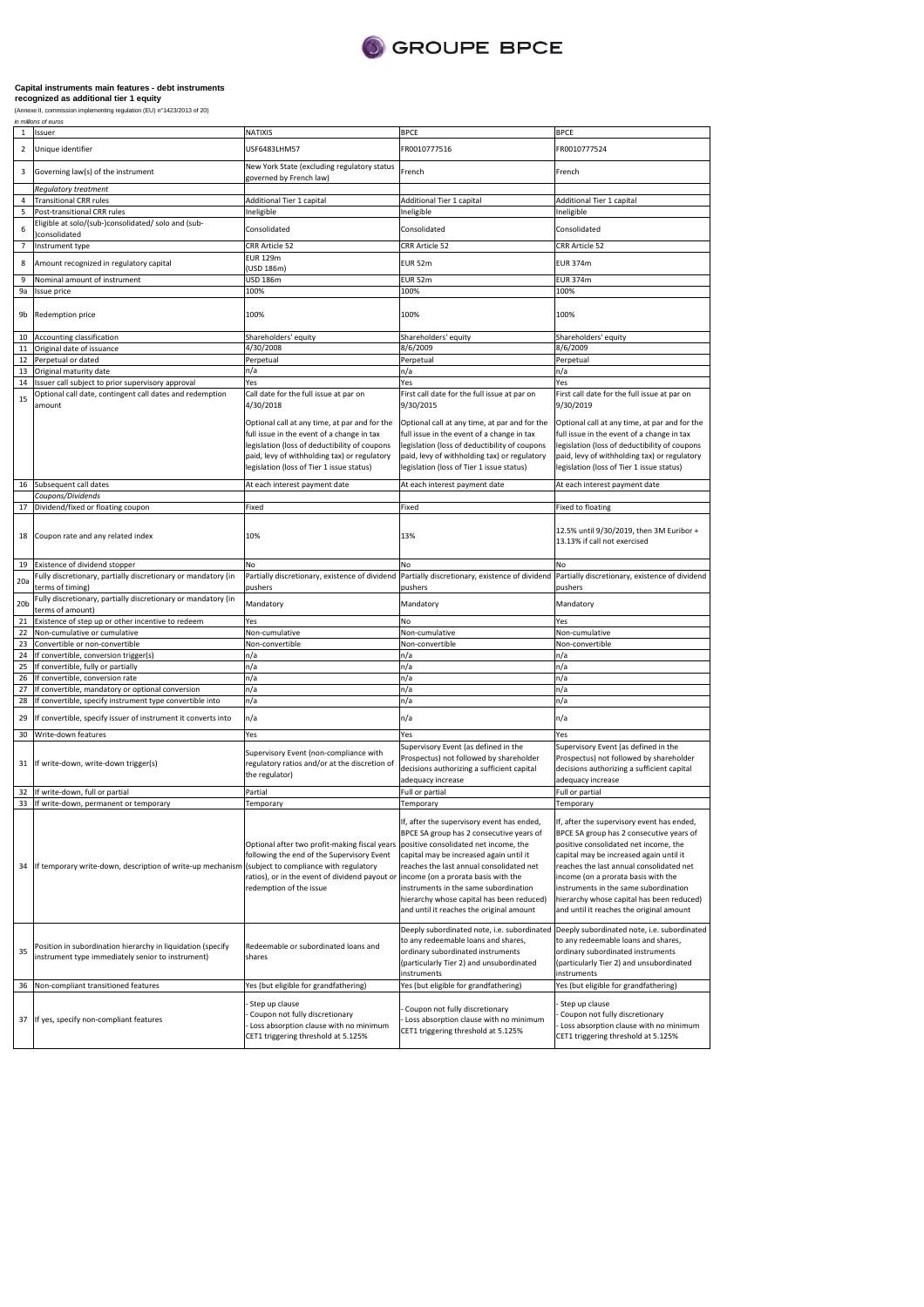

| $\mathbf{1}$            | in mornis or euro:<br>Issuer                                                                                     | NATIXIS                                                                                                                                                                                                                                                 | <b>BPCE</b>                                                                                                                                                                                                                                                                                                                                              | <b>BPCE</b>                                                                                                                                                                                                                                                                                                                                                                                     |
|-------------------------|------------------------------------------------------------------------------------------------------------------|---------------------------------------------------------------------------------------------------------------------------------------------------------------------------------------------------------------------------------------------------------|----------------------------------------------------------------------------------------------------------------------------------------------------------------------------------------------------------------------------------------------------------------------------------------------------------------------------------------------------------|-------------------------------------------------------------------------------------------------------------------------------------------------------------------------------------------------------------------------------------------------------------------------------------------------------------------------------------------------------------------------------------------------|
| $\overline{\mathbf{2}}$ | Unique identifier<br>USF6483LHM57                                                                                |                                                                                                                                                                                                                                                         | FR0010777516                                                                                                                                                                                                                                                                                                                                             | FR0010777524                                                                                                                                                                                                                                                                                                                                                                                    |
| 3                       | Governing law(s) of the instrument                                                                               | New York State (excluding regulatory status<br>governed by French law)                                                                                                                                                                                  | French                                                                                                                                                                                                                                                                                                                                                   | French                                                                                                                                                                                                                                                                                                                                                                                          |
|                         | Regulatory treatment                                                                                             |                                                                                                                                                                                                                                                         |                                                                                                                                                                                                                                                                                                                                                          |                                                                                                                                                                                                                                                                                                                                                                                                 |
| 4                       | <b>Transitional CRR rules</b>                                                                                    | Additional Tier 1 capital                                                                                                                                                                                                                               | Additional Tier 1 capital                                                                                                                                                                                                                                                                                                                                | Additional Tier 1 capital                                                                                                                                                                                                                                                                                                                                                                       |
| 5                       | Post-transitional CRR rules                                                                                      | Ineligible                                                                                                                                                                                                                                              | Ineligible                                                                                                                                                                                                                                                                                                                                               | Ineligible                                                                                                                                                                                                                                                                                                                                                                                      |
| 6                       | Eligible at solo/(sub-)consolidated/ solo and (sub-<br>consolidated                                              | Consolidated                                                                                                                                                                                                                                            | Consolidated                                                                                                                                                                                                                                                                                                                                             | Consolidated                                                                                                                                                                                                                                                                                                                                                                                    |
| $\overline{7}$          | Instrument type                                                                                                  | CRR Article 52                                                                                                                                                                                                                                          | CRR Article 52                                                                                                                                                                                                                                                                                                                                           | CRR Article 52                                                                                                                                                                                                                                                                                                                                                                                  |
| 8                       | Amount recognized in regulatory capital                                                                          | <b>EUR 129m</b><br>(USD 186m)                                                                                                                                                                                                                           | EUR 52m                                                                                                                                                                                                                                                                                                                                                  | <b>EUR 374m</b>                                                                                                                                                                                                                                                                                                                                                                                 |
| 9                       | Nominal amount of instrument                                                                                     | USD 186m                                                                                                                                                                                                                                                | <b>EUR 52m</b>                                                                                                                                                                                                                                                                                                                                           | <b>EUR 374m</b>                                                                                                                                                                                                                                                                                                                                                                                 |
| 9a                      | Issue price                                                                                                      | 100%                                                                                                                                                                                                                                                    | 100%                                                                                                                                                                                                                                                                                                                                                     | 100%                                                                                                                                                                                                                                                                                                                                                                                            |
| 9b                      | Redemption price                                                                                                 | 100%                                                                                                                                                                                                                                                    | 100%                                                                                                                                                                                                                                                                                                                                                     | 100%                                                                                                                                                                                                                                                                                                                                                                                            |
| 10                      | Accounting classification                                                                                        | Shareholders' equity                                                                                                                                                                                                                                    | Shareholders' equity                                                                                                                                                                                                                                                                                                                                     | Shareholders' equity                                                                                                                                                                                                                                                                                                                                                                            |
| 11                      | Original date of issuance                                                                                        | 4/30/2008                                                                                                                                                                                                                                               | 8/6/2009                                                                                                                                                                                                                                                                                                                                                 | 8/6/2009                                                                                                                                                                                                                                                                                                                                                                                        |
| 12                      | Perpetual or dated                                                                                               | Perpetual                                                                                                                                                                                                                                               | Perpetual                                                                                                                                                                                                                                                                                                                                                | Perpetual                                                                                                                                                                                                                                                                                                                                                                                       |
| 13                      | Original maturity date                                                                                           | n/a                                                                                                                                                                                                                                                     | n/a                                                                                                                                                                                                                                                                                                                                                      | n/a                                                                                                                                                                                                                                                                                                                                                                                             |
|                         |                                                                                                                  |                                                                                                                                                                                                                                                         |                                                                                                                                                                                                                                                                                                                                                          |                                                                                                                                                                                                                                                                                                                                                                                                 |
| 14                      | Issuer call subject to prior supervisory approval                                                                | Yes                                                                                                                                                                                                                                                     | Yes                                                                                                                                                                                                                                                                                                                                                      | Yes                                                                                                                                                                                                                                                                                                                                                                                             |
| 15                      | Optional call date, contingent call dates and redemption<br>amount                                               | Call date for the full issue at par on<br>4/30/2018<br>Optional call at any time, at par and for the                                                                                                                                                    | First call date for the full issue at par on<br>9/30/2015<br>Optional call at any time, at par and for the                                                                                                                                                                                                                                               | First call date for the full issue at par on<br>9/30/2019<br>Optional call at any time, at par and for the                                                                                                                                                                                                                                                                                      |
|                         |                                                                                                                  | full issue in the event of a change in tax<br>legislation (loss of deductibility of coupons<br>paid, levy of withholding tax) or regulatory<br>legislation (loss of Tier 1 issue status)                                                                | full issue in the event of a change in tax<br>legislation (loss of deductibility of coupons<br>paid, levy of withholding tax) or regulatory<br>legislation (loss of Tier 1 issue status)                                                                                                                                                                 | full issue in the event of a change in tax<br>legislation (loss of deductibility of coupons<br>paid, levy of withholding tax) or regulatory<br>legislation (loss of Tier 1 issue status)                                                                                                                                                                                                        |
| 16                      | Subsequent call dates                                                                                            | At each interest payment date                                                                                                                                                                                                                           | At each interest payment date                                                                                                                                                                                                                                                                                                                            | At each interest payment date                                                                                                                                                                                                                                                                                                                                                                   |
|                         | Coupons/Dividends                                                                                                |                                                                                                                                                                                                                                                         |                                                                                                                                                                                                                                                                                                                                                          |                                                                                                                                                                                                                                                                                                                                                                                                 |
| 17                      | Dividend/fixed or floating coupon                                                                                | Fixed                                                                                                                                                                                                                                                   | Fixed                                                                                                                                                                                                                                                                                                                                                    | <b>Fixed to floating</b>                                                                                                                                                                                                                                                                                                                                                                        |
| 18                      | Coupon rate and any related index                                                                                | 10%                                                                                                                                                                                                                                                     | 13%                                                                                                                                                                                                                                                                                                                                                      | 12.5% until 9/30/2019, then 3M Euribor +<br>13.13% if call not exercised                                                                                                                                                                                                                                                                                                                        |
| 19                      | Existence of dividend stopper                                                                                    | No                                                                                                                                                                                                                                                      | No                                                                                                                                                                                                                                                                                                                                                       | No                                                                                                                                                                                                                                                                                                                                                                                              |
|                         | Fully discretionary, partially discretionary or mandatory (in                                                    | Partially discretionary, existence of dividend                                                                                                                                                                                                          | Partially discretionary, existence of dividend                                                                                                                                                                                                                                                                                                           | Partially discretionary, existence of dividend                                                                                                                                                                                                                                                                                                                                                  |
| 20a                     | terms of timing)                                                                                                 | pushers                                                                                                                                                                                                                                                 | pushers                                                                                                                                                                                                                                                                                                                                                  | pushers                                                                                                                                                                                                                                                                                                                                                                                         |
| 20 <sub>b</sub>         | Fully discretionary, partially discretionary or mandatory (in<br>terms of amount)                                | Mandatory                                                                                                                                                                                                                                               | Mandatory                                                                                                                                                                                                                                                                                                                                                | Mandatory                                                                                                                                                                                                                                                                                                                                                                                       |
| 21                      | Existence of step up or other incentive to redeem                                                                | Yes                                                                                                                                                                                                                                                     | No                                                                                                                                                                                                                                                                                                                                                       | Yes                                                                                                                                                                                                                                                                                                                                                                                             |
| 22                      | Non-cumulative or cumulative                                                                                     | Non-cumulative                                                                                                                                                                                                                                          | Non-cumulative                                                                                                                                                                                                                                                                                                                                           | Non-cumulative                                                                                                                                                                                                                                                                                                                                                                                  |
| 23                      |                                                                                                                  |                                                                                                                                                                                                                                                         |                                                                                                                                                                                                                                                                                                                                                          |                                                                                                                                                                                                                                                                                                                                                                                                 |
|                         | Convertible or non-convertible                                                                                   | Non-convertible                                                                                                                                                                                                                                         | Non-convertible                                                                                                                                                                                                                                                                                                                                          | Non-convertible                                                                                                                                                                                                                                                                                                                                                                                 |
| 24                      | If convertible, conversion trigger(s)                                                                            | n/a                                                                                                                                                                                                                                                     | n/a                                                                                                                                                                                                                                                                                                                                                      | n/a                                                                                                                                                                                                                                                                                                                                                                                             |
| 25                      | If convertible, fully or partially                                                                               | n/a                                                                                                                                                                                                                                                     | n/a                                                                                                                                                                                                                                                                                                                                                      | n/a                                                                                                                                                                                                                                                                                                                                                                                             |
| 26                      | If convertible, conversion rate                                                                                  | n/a                                                                                                                                                                                                                                                     | n/a                                                                                                                                                                                                                                                                                                                                                      | n/a                                                                                                                                                                                                                                                                                                                                                                                             |
| 27                      | If convertible, mandatory or optional conversion                                                                 | n/a                                                                                                                                                                                                                                                     | n/a                                                                                                                                                                                                                                                                                                                                                      | n/a                                                                                                                                                                                                                                                                                                                                                                                             |
| 28                      | If convertible, specify instrument type convertible into                                                         | n/a                                                                                                                                                                                                                                                     | n/a                                                                                                                                                                                                                                                                                                                                                      | n/a                                                                                                                                                                                                                                                                                                                                                                                             |
| 29                      | If convertible, specify issuer of instrument it converts into                                                    | n/a                                                                                                                                                                                                                                                     | n/a                                                                                                                                                                                                                                                                                                                                                      | n/a                                                                                                                                                                                                                                                                                                                                                                                             |
| 30                      | Write-down features                                                                                              | Yes                                                                                                                                                                                                                                                     | Yes                                                                                                                                                                                                                                                                                                                                                      | Yes                                                                                                                                                                                                                                                                                                                                                                                             |
| 31                      | If write-down, write-down trigger(s)                                                                             | Supervisory Event (non-compliance with<br>regulatory ratios and/or at the discretion of<br>the regulator)                                                                                                                                               | Supervisory Event (as defined in the<br>Prospectus) not followed by shareholder<br>decisions authorizing a sufficient capital<br>adequacy increase                                                                                                                                                                                                       | Supervisory Event (as defined in the<br>Prospectus) not followed by shareholder<br>decisions authorizing a sufficient capital<br>adequacy increase                                                                                                                                                                                                                                              |
| 32                      | If write-down, full or partial                                                                                   | Partial                                                                                                                                                                                                                                                 | Full or partial                                                                                                                                                                                                                                                                                                                                          | Full or partial                                                                                                                                                                                                                                                                                                                                                                                 |
| 33                      | If write-down, permanent or temporary                                                                            | Temporary                                                                                                                                                                                                                                               | Temporary                                                                                                                                                                                                                                                                                                                                                | Temporary                                                                                                                                                                                                                                                                                                                                                                                       |
| 34                      | If temporary write-down, description of write-up mechanism                                                       | Optional after two profit-making fiscal years<br>following the end of the Supervisory Event<br>(subject to compliance with regulatory<br>ratios), or in the event of dividend payout or lincome (on a prorata basis with the<br>redemption of the issue | If, after the supervisory event has ended,<br>BPCE SA group has 2 consecutive years of<br>positive consolidated net income, the<br>capital may be increased again until it<br>reaches the last annual consolidated net<br>instruments in the same subordination<br>hierarchy whose capital has been reduced)<br>and until it reaches the original amount | If, after the supervisory event has ended,<br>BPCE SA group has 2 consecutive years of<br>positive consolidated net income, the<br>capital may be increased again until it<br>reaches the last annual consolidated net<br>income (on a prorata basis with the<br>instruments in the same subordination<br>hierarchy whose capital has been reduced)<br>and until it reaches the original amount |
| 35                      | Position in subordination hierarchy in liquidation (specify<br>instrument type immediately senior to instrument) | Redeemable or subordinated loans and<br>shares                                                                                                                                                                                                          | Deeply subordinated note, i.e. subordinated<br>to any redeemable loans and shares,<br>ordinary subordinated instruments<br>(particularly Tier 2) and unsubordinated<br>instruments                                                                                                                                                                       | Deeply subordinated note, i.e. subordinated<br>to any redeemable loans and shares,<br>ordinary subordinated instruments<br>(particularly Tier 2) and unsubordinated<br>instruments                                                                                                                                                                                                              |
| 36                      | Non-compliant transitioned features                                                                              | Yes (but eligible for grandfathering)                                                                                                                                                                                                                   | Yes (but eligible for grandfathering)                                                                                                                                                                                                                                                                                                                    | Yes (but eligible for grandfathering)                                                                                                                                                                                                                                                                                                                                                           |
| 37                      | If yes, specify non-compliant features                                                                           | Step up clause<br>Coupon not fully discretionary<br>Loss absorption clause with no minimum<br>CET1 triggering threshold at 5.125%                                                                                                                       | Coupon not fully discretionary<br>Loss absorption clause with no minimum<br>CET1 triggering threshold at 5.125%                                                                                                                                                                                                                                          | Step up clause<br>Coupon not fully discretionary<br>Loss absorption clause with no minimum<br>CET1 triggering threshold at 5.125%                                                                                                                                                                                                                                                               |